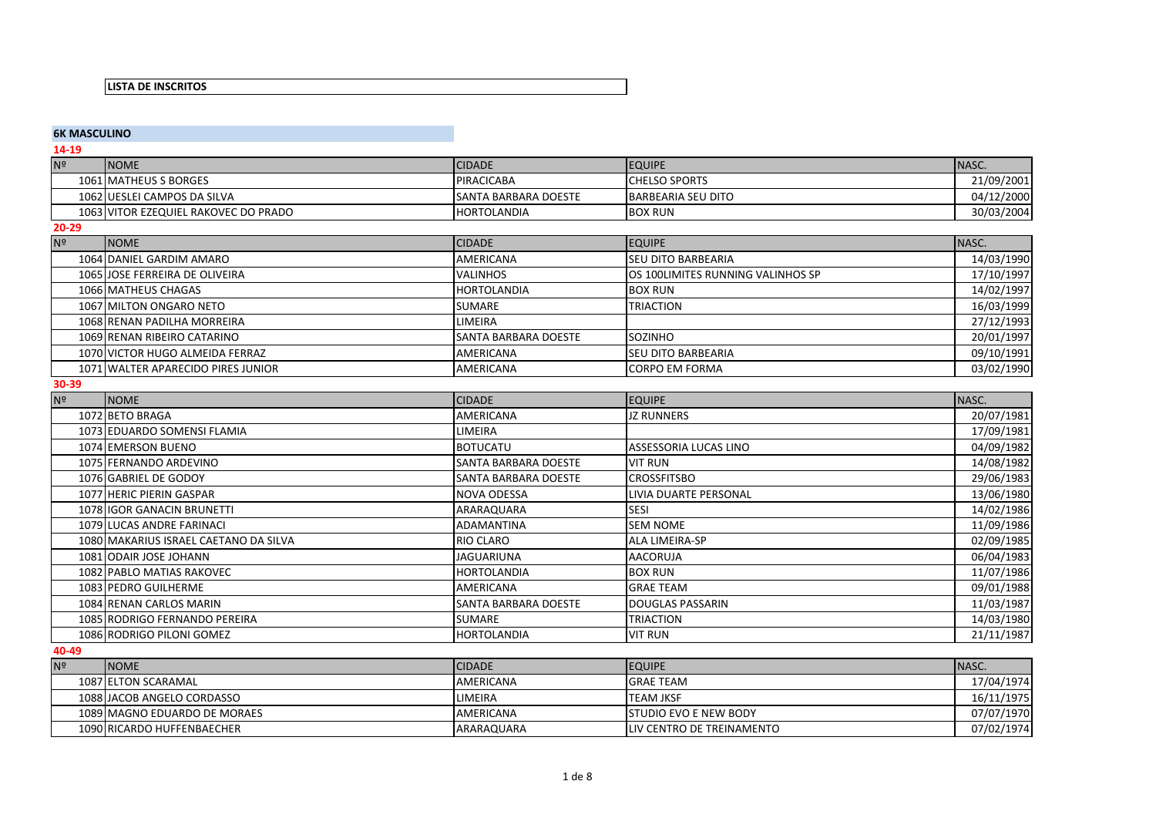### **LISTA DE INSCRITOS**

| <b>6K MASCULINO</b> |                                       |                             |                                   |            |
|---------------------|---------------------------------------|-----------------------------|-----------------------------------|------------|
| 14-19               |                                       |                             |                                   |            |
| N <sup>2</sup>      | <b>NOME</b>                           | <b>CIDADE</b>               | <b>EQUIPE</b>                     | NASC.      |
|                     | 1061 MATHEUS S BORGES                 | PIRACICABA                  | <b>CHELSO SPORTS</b>              | 21/09/2001 |
|                     | 1062 UESLEI CAMPOS DA SILVA           | SANTA BARBARA DOESTE        | <b>BARBEARIA SEU DITO</b>         | 04/12/2000 |
|                     | 1063 VITOR EZEQUIEL RAKOVEC DO PRADO  | HORTOLANDIA                 | <b>BOX RUN</b>                    | 30/03/2004 |
| 20-29               |                                       |                             |                                   |            |
| N <sup>2</sup>      | <b>NOME</b>                           | <b>CIDADE</b>               | <b>EQUIPE</b>                     | NASC.      |
|                     | 1064 DANIEL GARDIM AMARO              | AMERICANA                   | <b>SEU DITO BARBEARIA</b>         | 14/03/1990 |
|                     | 1065 JOSE FERREIRA DE OLIVEIRA        | <b>VALINHOS</b>             | OS 100LIMITES RUNNING VALINHOS SP | 17/10/1997 |
|                     | 1066 MATHEUS CHAGAS                   | <b>HORTOLANDIA</b>          | <b>BOX RUN</b>                    | 14/02/1997 |
|                     | 1067 MILTON ONGARO NETO               | <b>SUMARE</b>               | <b>TRIACTION</b>                  | 16/03/1999 |
|                     | 1068 RENAN PADILHA MORREIRA           | LIMEIRA                     |                                   | 27/12/1993 |
|                     | 1069 RENAN RIBEIRO CATARINO           | SANTA BARBARA DOESTE        | SOZINHO                           | 20/01/1997 |
|                     | 1070 VICTOR HUGO ALMEIDA FERRAZ       | AMERICANA                   | <b>SEU DITO BARBEARIA</b>         | 09/10/1991 |
|                     | 1071 WALTER APARECIDO PIRES JUNIOR    | AMERICANA                   | <b>CORPO EM FORMA</b>             | 03/02/1990 |
| 30-39               |                                       |                             |                                   |            |
| N <sup>2</sup>      | <b>NOME</b>                           | <b>CIDADE</b>               | <b>EQUIPE</b>                     | NASC.      |
|                     | 1072 BETO BRAGA                       | <b>AMERICANA</b>            | <b>JZ RUNNERS</b>                 | 20/07/1981 |
|                     | 1073 EDUARDO SOMENSI FLAMIA           | LIMEIRA                     |                                   | 17/09/1981 |
|                     | 1074 EMERSON BUENO                    | <b>BOTUCATU</b>             | ASSESSORIA LUCAS LINO             | 04/09/1982 |
|                     | 1075 FERNANDO ARDEVINO                | SANTA BARBARA DOESTE        | <b>VIT RUN</b>                    | 14/08/1982 |
|                     | 1076 GABRIEL DE GODOY                 | SANTA BARBARA DOESTE        | <b>CROSSFITSBO</b>                | 29/06/1983 |
|                     | 1077 HERIC PIERIN GASPAR              | NOVA ODESSA                 | LIVIA DUARTE PERSONAL             | 13/06/1980 |
|                     | 1078 IGOR GANACIN BRUNETTI            | ARARAQUARA                  | <b>SESI</b>                       | 14/02/1986 |
|                     | 1079 LUCAS ANDRE FARINACI             | ADAMANTINA                  | <b>SEM NOME</b>                   | 11/09/1986 |
|                     | 1080 MAKARIUS ISRAEL CAETANO DA SILVA | <b>RIO CLARO</b>            | <b>ALA LIMEIRA-SP</b>             | 02/09/1985 |
|                     | 1081 ODAIR JOSE JOHANN                | <b>JAGUARIUNA</b>           | <b>AACORUJA</b>                   | 06/04/1983 |
|                     | 1082 PABLO MATIAS RAKOVEC             | <b>HORTOLANDIA</b>          | <b>BOX RUN</b>                    | 11/07/1986 |
|                     | 1083 PEDRO GUILHERME                  | <b>AMERICANA</b>            | <b>GRAE TEAM</b>                  | 09/01/1988 |
|                     | 1084 RENAN CARLOS MARIN               | <b>SANTA BARBARA DOESTE</b> | <b>DOUGLAS PASSARIN</b>           | 11/03/1987 |
|                     | 1085 RODRIGO FERNANDO PEREIRA         | <b>SUMARE</b>               | <b>TRIACTION</b>                  | 14/03/1980 |
|                     | 1086 RODRIGO PILONI GOMEZ             | <b>HORTOLANDIA</b>          | <b>VIT RUN</b>                    | 21/11/1987 |
| 40-49               |                                       |                             |                                   |            |
| N <sup>2</sup>      | <b>NOME</b>                           | <b>CIDADE</b>               | <b>EQUIPE</b>                     | NASC.      |
|                     | 1087 ELTON SCARAMAL                   | AMERICANA                   | <b>GRAE TEAM</b>                  | 17/04/1974 |
|                     | 1088 JACOB ANGELO CORDASSO            | LIMEIRA                     | <b>TEAM JKSF</b>                  | 16/11/1975 |
|                     | 1089 MAGNO EDUARDO DE MORAES          | AMERICANA                   | STUDIO EVO E NEW BODY             | 07/07/1970 |
|                     | 1090 RICARDO HUFFENBAECHER            | ARARAQUARA                  | LIV CENTRO DE TREINAMENTO         | 07/02/1974 |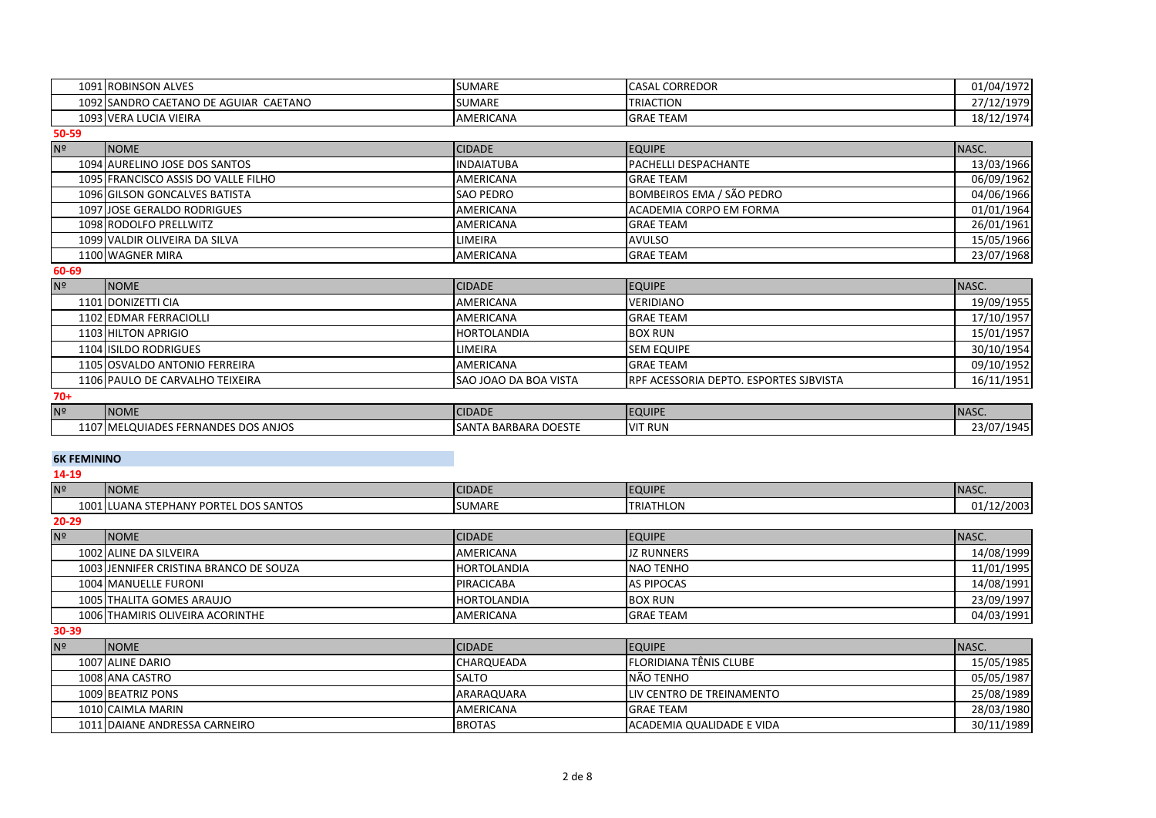|       | 1091 ROBINSON ALVES                   | SUMARE                | <b>CASAL CORREDOR</b>                  | 01/04/1972 |
|-------|---------------------------------------|-----------------------|----------------------------------------|------------|
|       | 1092 SANDRO CAETANO DE AGUIAR CAETANO | SUMARE                | <b>TRIACTION</b>                       | 27/12/1979 |
|       | 1093 VERA LUCIA VIEIRA                | AMERICANA             | <b>GRAE TEAM</b>                       | 18/12/1974 |
| 50-59 |                                       |                       |                                        |            |
| Nº    | <b>NOME</b>                           | <b>CIDADE</b>         | <b>EQUIPE</b>                          | NASC.      |
|       | 1094 AURELINO JOSE DOS SANTOS         | <b>INDAIATUBA</b>     | PACHELLI DESPACHANTE                   | 13/03/1966 |
|       | 1095 FRANCISCO ASSIS DO VALLE FILHO   | AMERICANA             | <b>GRAE TEAM</b>                       | 06/09/1962 |
|       | 1096 GILSON GONCALVES BATISTA         | SAO PEDRO             | BOMBEIROS EMA / SÃO PEDRO              | 04/06/1966 |
|       | 1097 JOSE GERALDO RODRIGUES           | AMERICANA             | ACADEMIA CORPO EM FORMA                | 01/01/1964 |
|       | 1098 RODOLFO PRELLWITZ                | AMERICANA             | <b>GRAE TEAM</b>                       | 26/01/1961 |
|       | 1099 VALDIR OLIVEIRA DA SILVA         | LIMEIRA               | AVULSO                                 | 15/05/1966 |
|       | 1100 WAGNER MIRA                      | AMERICANA             | <b>GRAE TEAM</b>                       | 23/07/1968 |
| 60-69 |                                       |                       |                                        |            |
| Nº    | <b>NOME</b>                           | <b>CIDADE</b>         | <b>EQUIPE</b>                          | NASC.      |
|       | 1101 DONIZETTI CIA                    | AMERICANA             | VERIDIANO                              | 19/09/1955 |
|       | 1102 EDMAR FERRACIOLLI                | <b>AMERICANA</b>      | <b>GRAE TEAM</b>                       | 17/10/1957 |
|       | 1103 HILTON APRIGIO                   | <b>HORTOLANDIA</b>    | <b>BOX RUN</b>                         | 15/01/1957 |
|       | 1104 ISILDO RODRIGUES                 | LIMEIRA               | <b>SEM EQUIPE</b>                      | 30/10/1954 |
|       | 1105 OSVALDO ANTONIO FERREIRA         | AMERICANA             | <b>GRAE TEAM</b>                       | 09/10/1952 |
|       | 1106 PAULO DE CARVALHO TEIXEIRA       | SAO JOAO DA BOA VISTA | RPF ACESSORIA DEPTO. ESPORTES SJBVISTA | 16/11/1951 |
| $70+$ |                                       |                       |                                        |            |
| Nº    | <b>NOME</b>                           | <b>CIDADE</b>         | <b>EQUIPE</b>                          | NASC.      |
|       |                                       |                       |                                        |            |

| N <sup>2</sup> | <b>NOME</b>                                         | <b>CIDADE</b>                   | <b>EQUIPE</b>  | <b>NASC</b>  |
|----------------|-----------------------------------------------------|---------------------------------|----------------|--------------|
| <b>1107</b>    | <b>DOS ANJOS</b><br>:RNANDES<br>.<br>''INIELUUIADEJ | - JULA BARBARA DOFETT<br>ISANT. | <b>VIT RUN</b> | 1945<br>370. |
|                |                                                     |                                 |                |              |

# **6K FEMININO**

| 14-19          |                                        |                    |                        |            |  |  |
|----------------|----------------------------------------|--------------------|------------------------|------------|--|--|
| N <sup>2</sup> | <b>NOME</b>                            | <b>CIDADE</b>      | <b>EQUIPE</b>          | INASC.     |  |  |
|                | 1001 LUANA STEPHANY PORTEL DOS SANTOS  | <b>SUMARE</b>      | <b>TRIATHLON</b>       | 01/12/2003 |  |  |
| 20-29          |                                        |                    |                        |            |  |  |
| N <sup>2</sup> | <b>NOME</b>                            | <b>CIDADE</b>      | <b>EQUIPE</b>          | INASC.     |  |  |
|                | 1002 ALINE DA SILVEIRA                 | <b>AMERICANA</b>   | <b>JZ RUNNERS</b>      | 14/08/1999 |  |  |
|                | 1003 JENNIFER CRISTINA BRANCO DE SOUZA | <b>HORTOLANDIA</b> | <b>NAO TENHO</b>       | 11/01/1995 |  |  |
|                | 1004 MANUELLE FURONI                   | PIRACICABA         | <b>AS PIPOCAS</b>      | 14/08/1991 |  |  |
|                | 1005 THALITA GOMES ARAUJO              | <b>HORTOLANDIA</b> | <b>BOX RUN</b>         | 23/09/1997 |  |  |
|                | 1006 THAMIRIS OLIVEIRA ACORINTHE       | <b>AMERICANA</b>   | <b>GRAE TEAM</b>       | 04/03/1991 |  |  |
| 30-39          |                                        |                    |                        |            |  |  |
| N <sup>2</sup> | <b>NOME</b>                            | <b>CIDADE</b>      | <b>EQUIPE</b>          | INASC.     |  |  |
|                | 1007 ALINE DARIO                       | <b>CHARQUEADA</b>  | FLORIDIANA TÊNIS CLUBE | 15/05/1985 |  |  |

| $\mathbf{u}$ | $\overline{\phantom{a}}$      | IUIDADL           | <b>ILQUIFL</b>                 | 11983C.    |
|--------------|-------------------------------|-------------------|--------------------------------|------------|
|              | 1007 ALINE DARIO              | <b>CHARQUEADA</b> | <b>IFLORIDIANA TÊNIS CLUBE</b> | 15/05/1985 |
|              | 1008 ANA CASTRO               | <b>SALTO</b>      | INÃO TENHO                     | 05/05/1987 |
|              | 1009 BEATRIZ PONS             | <b>ARARAQUARA</b> | LIV CENTRO DE TREINAMENTO      | 25/08/1989 |
|              | 1010 CAIMLA MARIN             | AMERICANA         | <b>IGRAE TEAM</b>              | 28/03/1980 |
|              | 1011 DAIANE ANDRESSA CARNEIRO | <b>BROTAS</b>     | ACADEMIA QUALIDADE E VIDA      | 30/11/1989 |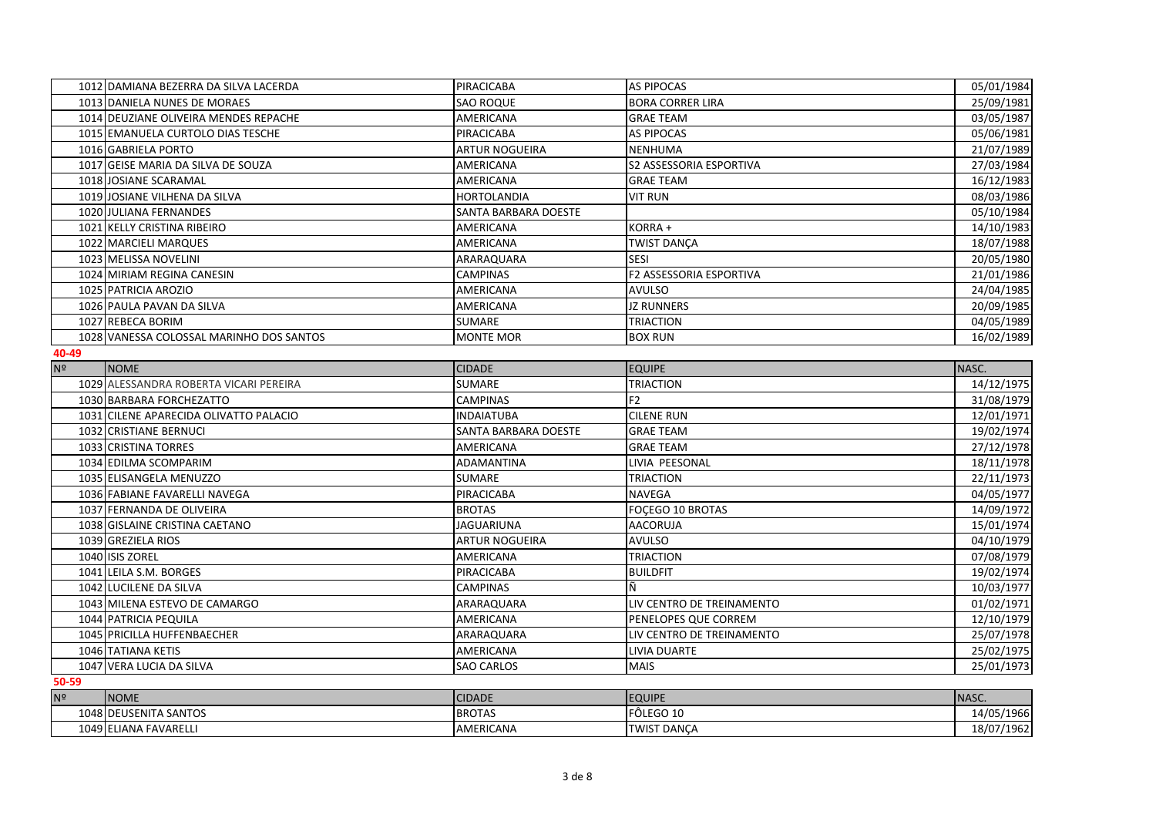|                | 1012 DAMIANA BEZERRA DA SILVA LACERDA    | PIRACICABA            | <b>AS PIPOCAS</b>              | 05/01/1984 |
|----------------|------------------------------------------|-----------------------|--------------------------------|------------|
|                | 1013 DANIELA NUNES DE MORAES             | <b>SAO ROQUE</b>      | <b>BORA CORRER LIRA</b>        | 25/09/1981 |
|                | 1014 DEUZIANE OLIVEIRA MENDES REPACHE    | AMERICANA             | <b>GRAE TEAM</b>               | 03/05/1987 |
|                | 1015 EMANUELA CURTOLO DIAS TESCHE        | PIRACICABA            | <b>AS PIPOCAS</b>              | 05/06/1981 |
|                | 1016 GABRIELA PORTO                      | <b>ARTUR NOGUEIRA</b> | NENHUMA                        | 21/07/1989 |
|                | 1017 GEISE MARIA DA SILVA DE SOUZA       | AMERICANA             | S2 ASSESSORIA ESPORTIVA        | 27/03/1984 |
|                | 1018 JOSIANE SCARAMAL                    | AMERICANA             | <b>GRAE TEAM</b>               | 16/12/1983 |
|                | 1019 JOSIANE VILHENA DA SILVA            | <b>HORTOLANDIA</b>    | <b>VIT RUN</b>                 | 08/03/1986 |
|                | 1020 JULIANA FERNANDES                   | SANTA BARBARA DOESTE  |                                | 05/10/1984 |
|                | 1021 KELLY CRISTINA RIBEIRO              | AMERICANA             | KORRA+                         | 14/10/1983 |
|                | 1022 MARCIELI MARQUES                    | AMERICANA             | TWIST DANÇA                    | 18/07/1988 |
|                | 1023 MELISSA NOVELINI                    | ARARAQUARA            | <b>SESI</b>                    | 20/05/1980 |
|                | 1024 MIRIAM REGINA CANESIN               | <b>CAMPINAS</b>       | <b>F2 ASSESSORIA ESPORTIVA</b> | 21/01/1986 |
|                | 1025 PATRICIA AROZIO                     | AMERICANA             | <b>AVULSO</b>                  | 24/04/1985 |
|                | 1026 PAULA PAVAN DA SILVA                | AMERICANA             | <b>JZ RUNNERS</b>              | 20/09/1985 |
|                | 1027 REBECA BORIM                        | <b>SUMARE</b>         | <b>TRIACTION</b>               | 04/05/1989 |
|                | 1028 VANESSA COLOSSAL MARINHO DOS SANTOS | <b>MONTE MOR</b>      | <b>BOX RUN</b>                 | 16/02/1989 |
| 40-49          |                                          |                       |                                |            |
| Nº             | <b>NOME</b>                              | <b>CIDADE</b>         | <b>EQUIPE</b>                  | NASC.      |
|                | 1029 ALESSANDRA ROBERTA VICARI PEREIRA   | <b>SUMARE</b>         | <b>TRIACTION</b>               | 14/12/1975 |
|                | 1030 BARBARA FORCHEZATTO                 | <b>CAMPINAS</b>       | F <sub>2</sub>                 | 31/08/1979 |
|                | 1031 CILENE APARECIDA OLIVATTO PALACIO   | <b>INDAIATUBA</b>     | <b>CILENE RUN</b>              | 12/01/1971 |
|                | 1032 CRISTIANE BERNUCI                   | SANTA BARBARA DOESTE  | <b>GRAE TEAM</b>               | 19/02/1974 |
|                | 1033 CRISTINA TORRES                     | AMERICANA             | <b>GRAE TEAM</b>               | 27/12/1978 |
|                | 1034 EDILMA SCOMPARIM                    | ADAMANTINA            | LIVIA PEESONAL                 | 18/11/1978 |
|                | 1035 ELISANGELA MENUZZO                  | <b>SUMARE</b>         | <b>TRIACTION</b>               | 22/11/1973 |
|                | 1036 FABIANE FAVARELLI NAVEGA            | PIRACICABA            | <b>NAVEGA</b>                  | 04/05/1977 |
|                | 1037 FERNANDA DE OLIVEIRA                | <b>BROTAS</b>         | FOÇEGO 10 BROTAS               | 14/09/1972 |
|                | 1038 GISLAINE CRISTINA CAETANO           | <b>JAGUARIUNA</b>     | AACORUJA                       | 15/01/1974 |
|                | 1039 GREZIELA RIOS                       | <b>ARTUR NOGUEIRA</b> | <b>AVULSO</b>                  | 04/10/1979 |
|                | 1040 ISIS ZOREL                          | AMERICANA             | <b>TRIACTION</b>               | 07/08/1979 |
|                | 1041 LEILA S.M. BORGES                   | PIRACICABA            | <b>BUILDFIT</b>                | 19/02/1974 |
|                | 1042 LUCILENE DA SILVA                   | <b>CAMPINAS</b>       | Ñ                              | 10/03/1977 |
|                | 1043 MILENA ESTEVO DE CAMARGO            | ARARAQUARA            | LIV CENTRO DE TREINAMENTO      | 01/02/1971 |
|                | 1044 PATRICIA PEQUILA                    | AMERICANA             | PENELOPES QUE CORREM           | 12/10/1979 |
|                | 1045 PRICILLA HUFFENBAECHER              | ARARAQUARA            | LIV CENTRO DE TREINAMENTO      | 25/07/1978 |
|                | 1046 TATIANA KETIS                       | AMERICANA             | <b>LIVIA DUARTE</b>            | 25/02/1975 |
|                | 1047 VERA LUCIA DA SILVA                 | <b>SAO CARLOS</b>     | <b>MAIS</b>                    | 25/01/1973 |
| 50-59          |                                          |                       |                                |            |
| N <sup>2</sup> | <b>NOME</b>                              | <b>CIDADE</b>         | <b>EQUIPE</b>                  | NASC.      |
|                | 1048 DEUSENITA SANTOS                    | <b>BROTAS</b>         | FÔLEGO 10                      | 14/05/1966 |
|                | 1049 ELIANA FAVARELLI                    | <b>AMERICANA</b>      | <b>TWIST DANCA</b>             | 18/07/1962 |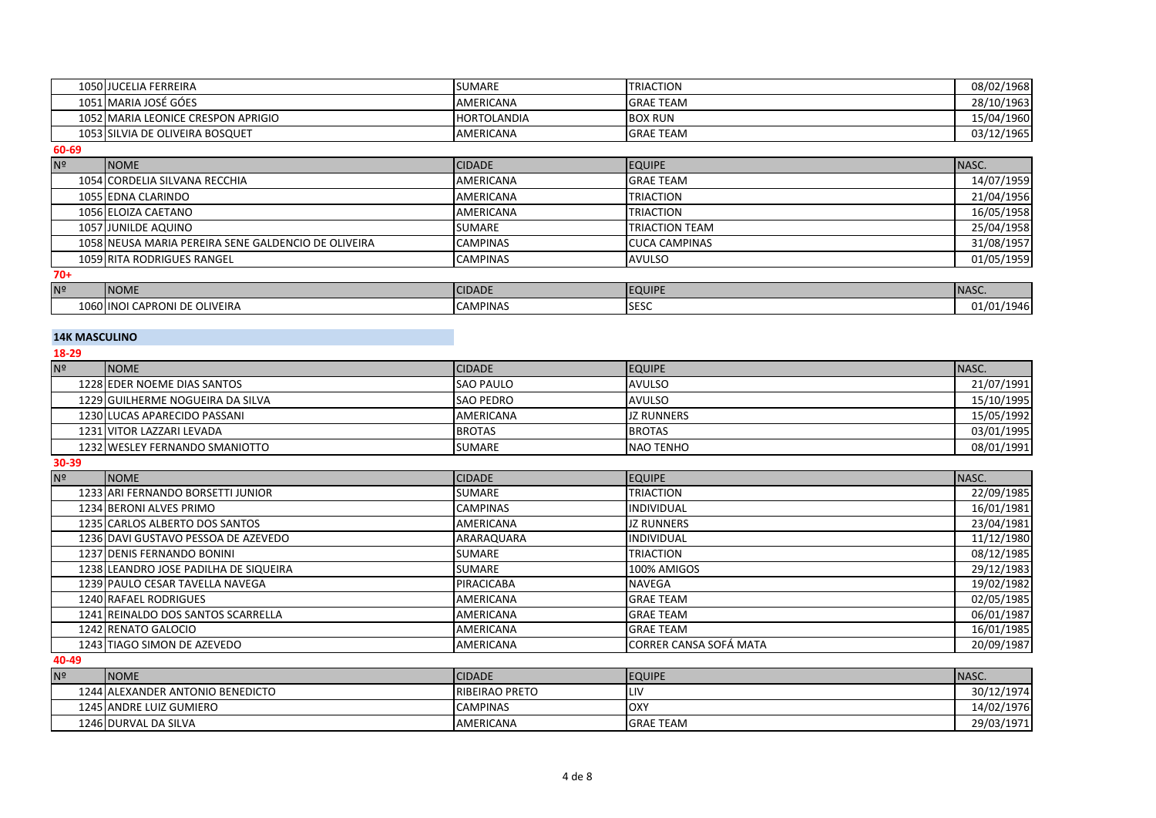|                | 1050 JUCELIA FERREIRA                               | <b>SUMARE</b>      | <b>TRIACTION</b>       | 08/02/1968 |  |  |
|----------------|-----------------------------------------------------|--------------------|------------------------|------------|--|--|
|                | 1051 MARIA JOSÉ GÓES                                | <b>AMERICANA</b>   | <b>GRAE TEAM</b>       | 28/10/1963 |  |  |
|                | 1052 MARIA LEONICE CRESPON APRIGIO                  | <b>HORTOLANDIA</b> | <b>BOX RUN</b>         | 15/04/1960 |  |  |
|                | 1053 SILVIA DE OLIVEIRA BOSQUET                     | <b>AMERICANA</b>   | <b>GRAE TEAM</b>       | 03/12/1965 |  |  |
| 60-69          |                                                     |                    |                        |            |  |  |
| Nº             | <b>NOME</b>                                         | <b>CIDADE</b>      | <b>EQUIPE</b>          | INASC.     |  |  |
|                | 1054 CORDELIA SILVANA RECCHIA                       | <b>AMERICANA</b>   | <b>GRAE TEAM</b>       | 14/07/1959 |  |  |
|                | 1055 EDNA CLARINDO                                  | <b>AMERICANA</b>   | <b>TRIACTION</b>       | 21/04/1956 |  |  |
|                | 1056 ELOIZA CAETANO                                 | <b>AMERICANA</b>   | <b>TRIACTION</b>       | 16/05/1958 |  |  |
|                | 1057 JUNILDE AQUINO                                 | <b>SUMARE</b>      | <b>ITRIACTION TEAM</b> | 25/04/1958 |  |  |
|                | 1058 NEUSA MARIA PEREIRA SENE GALDENCIO DE OLIVEIRA | <b>CAMPINAS</b>    | <b>CUCA CAMPINAS</b>   | 31/08/1957 |  |  |
|                | 1059 RITA RODRIGUES RANGEL                          | <b>CAMPINAS</b>    | AVULSO                 | 01/05/1959 |  |  |
| $70+$          |                                                     |                    |                        |            |  |  |
| N <sup>2</sup> | <b>INOME</b>                                        | <b>CIDADE</b>      | <b>EQUIPE</b>          | INASC.     |  |  |
|                | 1060 INOI CAPRONI DE OLIVEIRA                       | <b>CAMPINAS</b>    | <b>SESC</b>            | 01/01/1946 |  |  |

#### **14K MASCULINO**

| 18-29          |                                       |                  |                        |            |  |
|----------------|---------------------------------------|------------------|------------------------|------------|--|
| Nº             | <b>NOME</b>                           | <b>CIDADE</b>    | <b>EQUIPE</b>          | NASC.      |  |
|                | 1228 EDER NOEME DIAS SANTOS           | <b>SAO PAULO</b> | <b>AVULSO</b>          | 21/07/1991 |  |
|                | 1229 GUILHERME NOGUEIRA DA SILVA      | <b>SAO PEDRO</b> | <b>AVULSO</b>          | 15/10/1995 |  |
|                | 1230 LUCAS APARECIDO PASSANI          | <b>AMERICANA</b> | <b>JZ RUNNERS</b>      | 15/05/1992 |  |
|                | 1231 VITOR LAZZARI LEVADA             | <b>BROTAS</b>    | <b>BROTAS</b>          | 03/01/1995 |  |
|                | 1232 WESLEY FERNANDO SMANIOTTO        | <b>SUMARE</b>    | <b>NAO TENHO</b>       | 08/01/1991 |  |
| 30-39          |                                       |                  |                        |            |  |
| N <sup>2</sup> | <b>NOME</b>                           | <b>CIDADE</b>    | <b>EQUIPE</b>          | NASC.      |  |
|                | 1233 ARI FERNANDO BORSETTI JUNIOR     | <b>SUMARE</b>    | <b>TRIACTION</b>       | 22/09/1985 |  |
|                | 1234 BERONI ALVES PRIMO               | <b>CAMPINAS</b>  | <b>INDIVIDUAL</b>      | 16/01/1981 |  |
|                | 1235 CARLOS ALBERTO DOS SANTOS        | <b>AMERICANA</b> | <b>JZ RUNNERS</b>      | 23/04/1981 |  |
|                | 1236 DAVI GUSTAVO PESSOA DE AZEVEDO   | ARARAQUARA       | <b>INDIVIDUAL</b>      | 11/12/1980 |  |
|                | 1237 DENIS FERNANDO BONINI            | <b>SUMARE</b>    | <b>TRIACTION</b>       | 08/12/1985 |  |
|                | 1238 LEANDRO JOSE PADILHA DE SIQUEIRA | <b>SUMARE</b>    | 100% AMIGOS            | 29/12/1983 |  |
|                | 1239 PAULO CESAR TAVELLA NAVEGA       | PIRACICABA       | <b>NAVEGA</b>          | 19/02/1982 |  |
|                | 1240 RAFAEL RODRIGUES                 | AMERICANA        | <b>GRAE TEAM</b>       | 02/05/1985 |  |
|                | 1241 REINALDO DOS SANTOS SCARRELLA    | AMERICANA        | <b>GRAE TEAM</b>       | 06/01/1987 |  |
|                | 1242 RENATO GALOCIO                   | <b>AMERICANA</b> | <b>GRAE TEAM</b>       | 16/01/1985 |  |
|                | 1243 TIAGO SIMON DE AZEVEDO           | <b>AMERICANA</b> | CORRER CANSA SOFÁ MATA | 20/09/1987 |  |
| 40-49          |                                       |                  |                        |            |  |
| Nº             | <b>NOME</b>                           | <b>CIDADE</b>    | <b>EQUIPE</b>          | NASC.      |  |
|                | 1244 ALEXANDER ANTONIO BENEDICTO      | RIBEIRAO PRETO   | LIV                    | 30/12/1974 |  |
|                | 1245 ANDRE LUIZ GUMIERO               | <b>CAMPINAS</b>  | OXY                    | 14/02/1976 |  |
|                | 1246 DURVAL DA SILVA                  | <b>AMERICANA</b> | <b>GRAE TEAM</b>       | 29/03/1971 |  |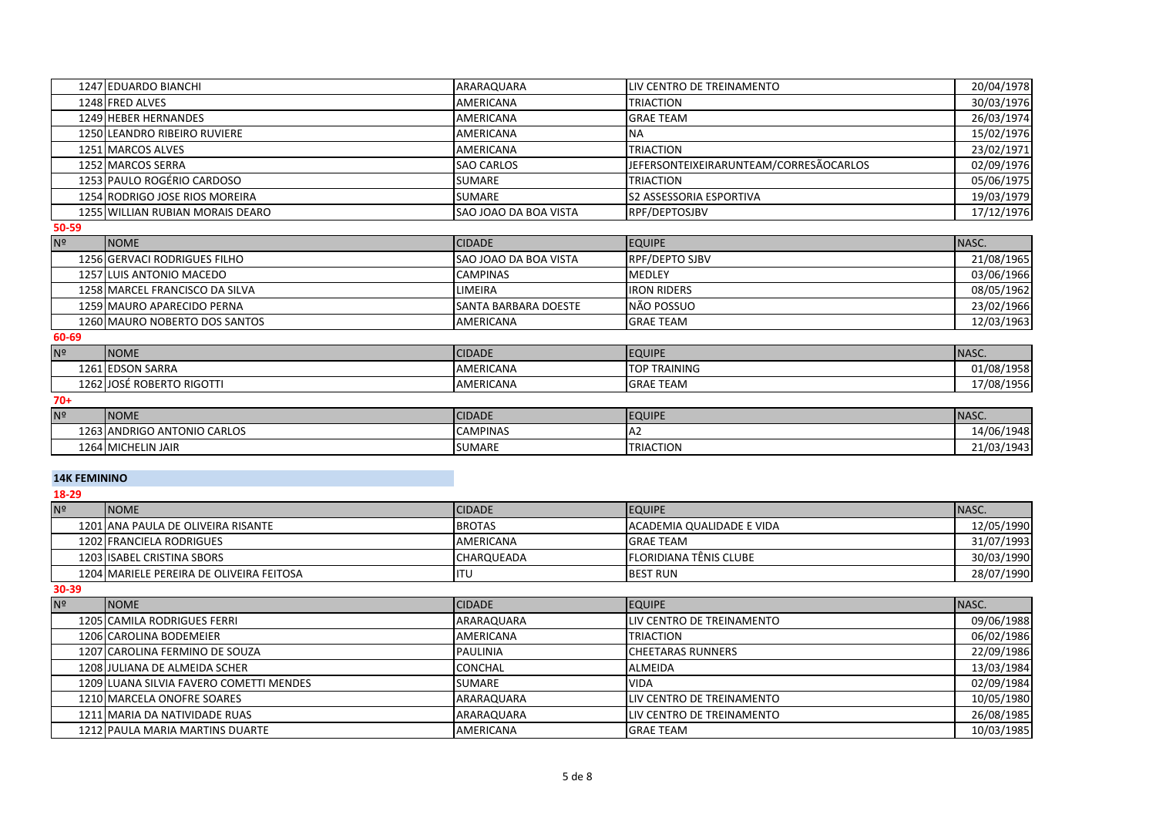|                | 1247 EDUARDO BIANCHI             | ARARAQUARA            | LIV CENTRO DE TREINAMENTO              | 20/04/1978 |
|----------------|----------------------------------|-----------------------|----------------------------------------|------------|
|                | 1248 FRED ALVES                  | AMERICANA             | TRIACTION                              | 30/03/1976 |
|                | 1249 HEBER HERNANDES             | AMERICANA             | <b>GRAE TEAM</b>                       | 26/03/1974 |
|                | 1250 LEANDRO RIBEIRO RUVIERE     | <b>AMERICANA</b>      | <b>INA</b>                             | 15/02/1976 |
|                | 1251 MARCOS ALVES                | <b>AMERICANA</b>      | <b>TRIACTION</b>                       | 23/02/1971 |
|                | 1252 MARCOS SERRA                | <b>SAO CARLOS</b>     | JEFERSONTEIXEIRARUNTEAM/CORRESÃOCARLOS | 02/09/1976 |
|                | 1253 PAULO ROGÉRIO CARDOSO       | <b>SUMARE</b>         | TRIACTION                              | 05/06/1975 |
|                | 1254 RODRIGO JOSE RIOS MOREIRA   | <b>SUMARE</b>         | <b>S2 ASSESSORIA ESPORTIVA</b>         | 19/03/1979 |
|                | 1255 WILLIAN RUBIAN MORAIS DEARO | SAO JOAO DA BOA VISTA | <b>RPF/DEPTOSJBV</b>                   | 17/12/1976 |
| 50-59          |                                  |                       |                                        |            |
| N <sup>2</sup> | <b>INOME</b>                     | <b>CIDADE</b>         | <b>EQUIPE</b>                          | NASC.      |
|                | 1256 GERVACI RODRIGUES FILHO     | SAO JOAO DA BOA VISTA | <b>RPF/DEPTO SJBV</b>                  | 21/08/1965 |
|                | 1257 LUIS ANTONIO MACEDO         | <b>CAMPINAS</b>       | <b>MEDLEY</b>                          | 03/06/1966 |
|                | 1258 MARCEL FRANCISCO DA SILVA   | LIMEIRA               | <b>IRON RIDERS</b>                     | 08/05/1962 |
|                | 1259 MAURO APARECIDO PERNA       | SANTA BARBARA DOESTE  | NÃO POSSUO                             | 23/02/1966 |
|                | 1260 MAURO NOBERTO DOS SANTOS    | <b>AMERICANA</b>      | <b>GRAE TEAM</b>                       | 12/03/1963 |
| 60-69          |                                  |                       |                                        |            |

| N <sup>2</sup> | <b>INOME</b>              | <b>CIDADE</b>    | <b>EQUIPE</b>       | INASC.     |
|----------------|---------------------------|------------------|---------------------|------------|
|                | 1261 EDSON SARRA          | AMERICANA        | <b>TOP TRAINING</b> | 01/08/1958 |
|                | 1262 JOSÉ ROBERTO RIGOTTI | <b>AMERICANA</b> | <b>GRAE TEAM</b>    | 17/08/1956 |

### **70+**

| INº                   | <b>NOME</b>                 | <b>CIDADE</b>   | <b>EQUIPE</b>     | INASC.     |
|-----------------------|-----------------------------|-----------------|-------------------|------------|
|                       | 1263 ANDRIGO ANTONIO CARLOS | <b>CAMPINAS</b> | ۱A΄               | 14/06/1948 |
| $\sim$<br><b>1264</b> | <b>MICHELIN JAIR</b>        | <b>SUMARE</b>   | <b>ITRIACTION</b> | 21/03/1943 |

### **14K FEMININO**

#### **18-29**

| N <sup>o</sup> | <b>NOME</b>                              | <b>ICIDADE</b>    | <b>EQUIPE</b>                  | <b>INASC.</b> |
|----------------|------------------------------------------|-------------------|--------------------------------|---------------|
|                | 1201 ANA PAULA DE OLIVEIRA RISANTE       | <b>BROTAS</b>     | IACADEMIA QUALIDADE E VIDA     | 12/05/1990    |
|                | 1202 FRANCIELA RODRIGUES                 | AMERICANA         | <b>IGRAE TEAM</b>              | 31/07/1993    |
|                | 1203 ISABEL CRISTINA SBORS               | <b>CHARQUEADA</b> | <b>IFLORIDIANA TÊNIS CLUBE</b> | 30/03/1990    |
|                | 1204 MARIELE PEREIRA DE OLIVEIRA FEITOSA | <b>IITU</b>       | <b>BEST RUN</b>                | 28/07/1990    |

**30-39**

| N <sup>2</sup> | <b>INOME</b>                            | <b>CIDADE</b>  | <b>EQUIPE</b>             | INASC.     |
|----------------|-----------------------------------------|----------------|---------------------------|------------|
|                | 1205 CAMILA RODRIGUES FERRI             | ARARAQUARA     | LIV CENTRO DE TREINAMENTO | 09/06/1988 |
|                | 1206 CAROLINA BODEMEIER                 | AMERICANA      | <b>ITRIACTION</b>         | 06/02/1986 |
|                | 1207 CAROLINA FERMINO DE SOUZA          | PAULINIA       | <b>CHEETARAS RUNNERS</b>  | 22/09/1986 |
|                | 1208 JULIANA DE ALMEIDA SCHER           | <b>CONCHAL</b> | <b>ALMEIDA</b>            | 13/03/1984 |
|                | 1209 LUANA SILVIA FAVERO COMETTI MENDES | <b>SUMARE</b>  | <b>VIDA</b>               | 02/09/1984 |
|                | 1210 MARCELA ONOFRE SOARES              | ARARAQUARA     | LIV CENTRO DE TREINAMENTO | 10/05/1980 |
|                | 1211 MARIA DA NATIVIDADE RUAS           | ARARAQUARA     | LIV CENTRO DE TREINAMENTO | 26/08/1985 |
|                | 1212 PAULA MARIA MARTINS DUARTE         | AMERICANA      | <b>GRAE TEAM</b>          | 10/03/1985 |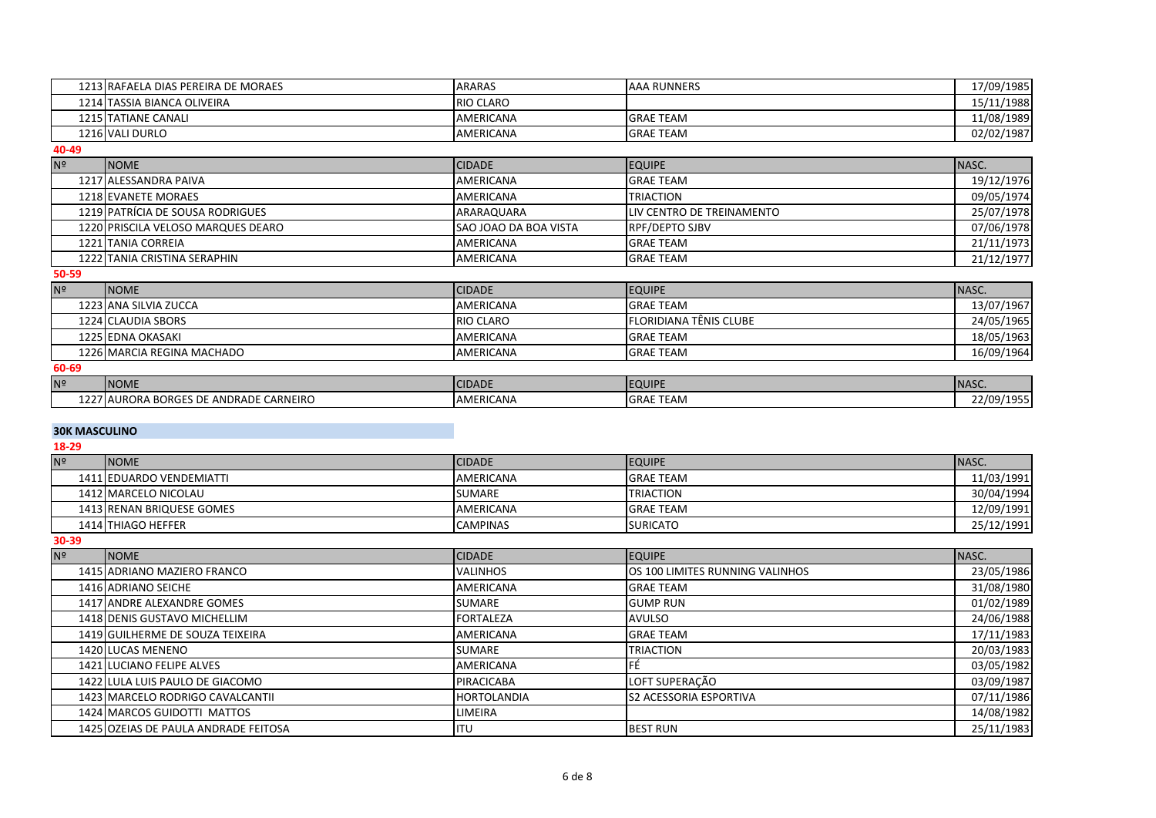|                | 1213 RAFAELA DIAS PEREIRA DE MORAES    | <b>ARARAS</b>         | <b>AAA RUNNERS</b>        | 17/09/1985 |  |  |
|----------------|----------------------------------------|-----------------------|---------------------------|------------|--|--|
|                | 1214 TASSIA BIANCA OLIVEIRA            | <b>RIO CLARO</b>      |                           | 15/11/1988 |  |  |
|                | 1215 TATIANE CANALI                    | AMERICANA             | <b>GRAE TEAM</b>          | 11/08/1989 |  |  |
|                | 1216 VALI DURLO                        | <b>AMERICANA</b>      | <b>GRAE TEAM</b>          | 02/02/1987 |  |  |
| 40-49          |                                        |                       |                           |            |  |  |
| N <sup>o</sup> | <b>NOME</b>                            | <b>CIDADE</b>         | <b>EQUIPE</b>             | NASC.      |  |  |
|                | 1217 ALESSANDRA PAIVA                  | AMERICANA             | <b>GRAE TEAM</b>          | 19/12/1976 |  |  |
|                | 1218 EVANETE MORAES                    | <b>AMERICANA</b>      | <b>TRIACTION</b>          | 09/05/1974 |  |  |
|                | 1219 PATRÍCIA DE SOUSA RODRIGUES       | ARARAQUARA            | LIV CENTRO DE TREINAMENTO | 25/07/1978 |  |  |
|                | 1220 PRISCILA VELOSO MARQUES DEARO     | SAO JOAO DA BOA VISTA | <b>RPF/DEPTO SJBV</b>     | 07/06/1978 |  |  |
|                | 1221 TANIA CORREIA                     | AMERICANA             | <b>GRAE TEAM</b>          | 21/11/1973 |  |  |
|                | 1222 TANIA CRISTINA SERAPHIN           | <b>AMERICANA</b>      | <b>GRAE TEAM</b>          | 21/12/1977 |  |  |
| 50-59          |                                        |                       |                           |            |  |  |
| N <sup>o</sup> | <b>NOME</b>                            | <b>CIDADE</b>         | <b>EQUIPE</b>             | NASC.      |  |  |
|                | 1223 ANA SILVIA ZUCCA                  | AMERICANA             | <b>GRAE TEAM</b>          | 13/07/1967 |  |  |
|                | 1224 CLAUDIA SBORS                     | <b>RIO CLARO</b>      | FLORIDIANA TÊNIS CLUBE    | 24/05/1965 |  |  |
|                | 1225 EDNA OKASAKI                      | AMERICANA             | <b>GRAE TEAM</b>          | 18/05/1963 |  |  |
|                | 1226 MARCIA REGINA MACHADO             | AMERICANA             | <b>GRAE TEAM</b>          | 16/09/1964 |  |  |
| 60-69          |                                        |                       |                           |            |  |  |
| N <sup>o</sup> | <b>NOME</b>                            | <b>CIDADE</b>         | <b>EQUIPE</b>             | NASC.      |  |  |
|                | 1227 AURORA BORGES DE ANDRADE CARNEIRO | AMERICANA             | <b>GRAE TEAM</b>          | 22/09/1955 |  |  |

## **30K MASCULINO**

# **18-29**

| N <sup>2</sup> | <b>INOME</b>              | <b>CIDADE</b>    | <b>IEQUIPE</b>   | INASC.     |
|----------------|---------------------------|------------------|------------------|------------|
|                | 1411 EDUARDO VENDEMIATTI  | AMERICANA        | <b>GRAE TEAM</b> | 11/03/1991 |
|                | 1412 MARCELO NICOLAU      | <b>SUMARE</b>    | <b>TRIACTION</b> | 30/04/1994 |
|                | 1413 RENAN BRIQUESE GOMES | <b>AMERICANA</b> | <b>GRAE TEAM</b> | 12/09/1991 |
|                | 1414 THIAGO HEFFER        | <b>CAMPINAS</b>  | <b>SURICATO</b>  | 25/12/1991 |

# **30-39**

| Nº | <b>NOME</b>                          | <b>CIDADE</b>      | <b>EQUIPE</b>                   | NASC.      |
|----|--------------------------------------|--------------------|---------------------------------|------------|
|    | 1415 ADRIANO MAZIERO FRANCO          | <b>VALINHOS</b>    | OS 100 LIMITES RUNNING VALINHOS | 23/05/1986 |
|    | 1416 ADRIANO SEICHE                  | <b>AMERICANA</b>   | <b>GRAE TEAM</b>                | 31/08/1980 |
|    | 1417 ANDRE ALEXANDRE GOMES           | <b>SUMARE</b>      | <b>GUMP RUN</b>                 | 01/02/1989 |
|    | 1418 DENIS GUSTAVO MICHELLIM         | <b>FORTALEZA</b>   | <b>AVULSO</b>                   | 24/06/1988 |
|    | 1419 GUILHERME DE SOUZA TEIXEIRA     | <b>AMERICANA</b>   | <b>GRAE TEAM</b>                | 17/11/1983 |
|    | 1420 LUCAS MENENO                    | <b>SUMARE</b>      | <b>TRIACTION</b>                | 20/03/1983 |
|    | 1421 LUCIANO FELIPE ALVES            | <b>AMERICANA</b>   | <b>IFE</b>                      | 03/05/1982 |
|    | 1422 LULA LUIS PAULO DE GIACOMO      | PIRACICABA         | LOFT SUPERAÇÃO                  | 03/09/1987 |
|    | 1423 MARCELO RODRIGO CAVALCANTII     | <b>HORTOLANDIA</b> | <b>S2 ACESSORIA ESPORTIVA</b>   | 07/11/1986 |
|    | 1424 MARCOS GUIDOTTI MATTOS          | <b>LIMEIRA</b>     |                                 | 14/08/1982 |
|    | 1425 OZEIAS DE PAULA ANDRADE FEITOSA | <b>ITU</b>         | <b>BEST RUN</b>                 | 25/11/1983 |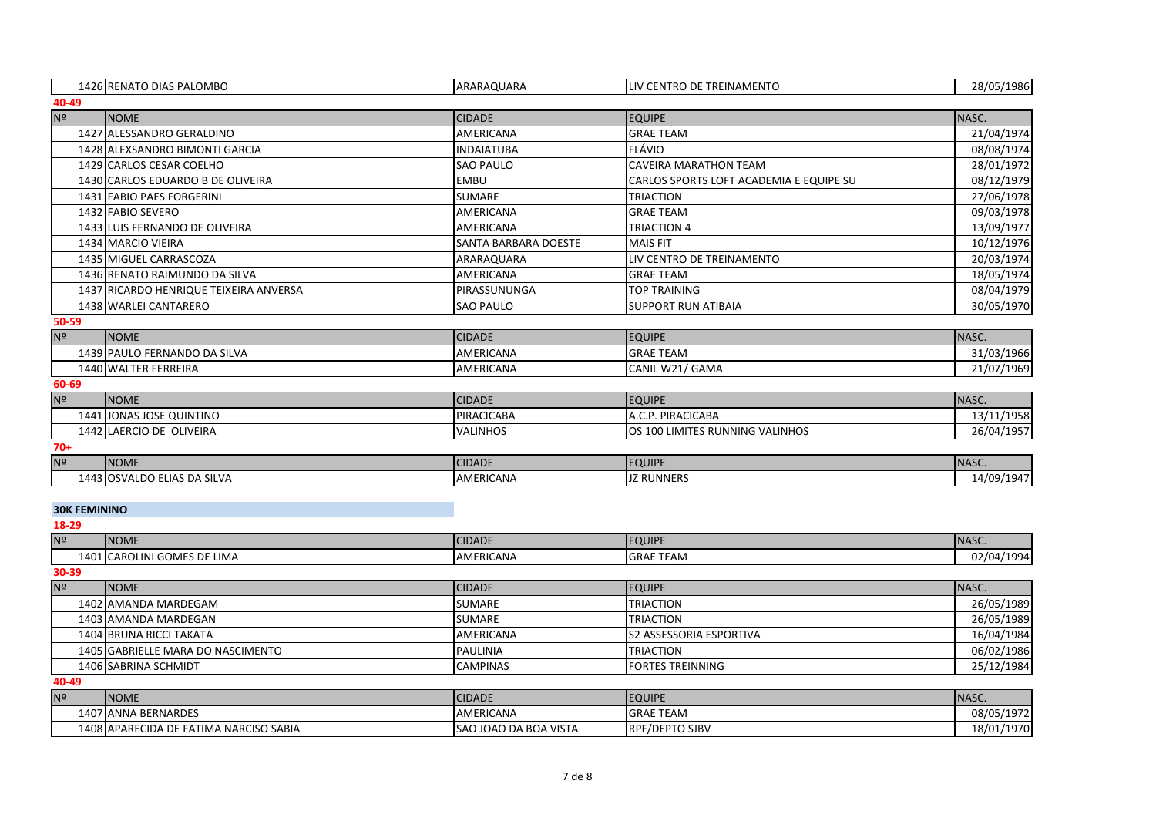|                     | 1426 RENATO DIAS PALOMBO               | ARARAQUARA           | LIV CENTRO DE TREINAMENTO               | 28/05/1986 |
|---------------------|----------------------------------------|----------------------|-----------------------------------------|------------|
| 40-49               |                                        |                      |                                         |            |
| Nº                  | <b>NOME</b>                            | <b>CIDADE</b>        | <b>EQUIPE</b>                           | NASC.      |
|                     | 1427 ALESSANDRO GERALDINO              | <b>AMERICANA</b>     | <b>GRAE TEAM</b>                        | 21/04/1974 |
|                     | 1428 ALEXSANDRO BIMONTI GARCIA         | <b>INDAIATUBA</b>    | <b>FLÁVIO</b>                           | 08/08/1974 |
|                     | 1429 CARLOS CESAR COELHO               | <b>SAO PAULO</b>     | <b>CAVEIRA MARATHON TEAM</b>            | 28/01/1972 |
|                     | 1430 CARLOS EDUARDO B DE OLIVEIRA      | <b>EMBU</b>          | CARLOS SPORTS LOFT ACADEMIA E EQUIPE SU | 08/12/1979 |
|                     | 1431 FABIO PAES FORGERINI              | <b>SUMARE</b>        | <b>TRIACTION</b>                        | 27/06/1978 |
|                     | 1432 FABIO SEVERO                      | <b>AMERICANA</b>     | <b>GRAE TEAM</b>                        | 09/03/1978 |
|                     | 1433 LUIS FERNANDO DE OLIVEIRA         | <b>AMERICANA</b>     | <b>TRIACTION 4</b>                      | 13/09/1977 |
|                     | 1434 MARCIO VIEIRA                     | SANTA BARBARA DOESTE | <b>MAIS FIT</b>                         | 10/12/1976 |
|                     | 1435 MIGUEL CARRASCOZA                 | ARARAQUARA           | LIV CENTRO DE TREINAMENTO               | 20/03/1974 |
|                     | 1436 RENATO RAIMUNDO DA SILVA          | AMERICANA            | <b>GRAE TEAM</b>                        | 18/05/1974 |
|                     | 1437 RICARDO HENRIQUE TEIXEIRA ANVERSA | PIRASSUNUNGA         | <b>TOP TRAINING</b>                     | 08/04/1979 |
|                     | 1438 WARLEI CANTARERO                  | <b>SAO PAULO</b>     | <b>SUPPORT RUN ATIBAIA</b>              | 30/05/1970 |
| 50-59               |                                        |                      |                                         |            |
| Nº                  | <b>NOME</b>                            | <b>CIDADE</b>        | <b>EQUIPE</b>                           | NASC.      |
|                     | 1439 PAULO FERNANDO DA SILVA           | AMERICANA            | <b>GRAE TEAM</b>                        | 31/03/1966 |
|                     | 1440 WALTER FERREIRA                   | AMERICANA            | CANIL W21/ GAMA                         | 21/07/1969 |
| 60-69               |                                        |                      |                                         |            |
| N <sup>2</sup>      | <b>NOME</b>                            | <b>CIDADE</b>        | <b>EQUIPE</b>                           | NASC.      |
|                     | 1441 JONAS JOSE QUINTINO               | PIRACICABA           | A.C.P. PIRACICABA                       | 13/11/1958 |
|                     | 1442 LAERCIO DE OLIVEIRA               | VALINHOS             | OS 100 LIMITES RUNNING VALINHOS         | 26/04/1957 |
| $70+$               |                                        |                      |                                         |            |
| N <sup>2</sup>      | <b>NOME</b>                            | <b>CIDADE</b>        | <b>EQUIPE</b>                           | NASC.      |
|                     | 1443 OSVALDO ELIAS DA SILVA            | AMERICANA            | <b>JZ RUNNERS</b>                       | 14/09/1947 |
|                     |                                        |                      |                                         |            |
| <b>30K FEMININO</b> |                                        |                      |                                         |            |
| 18-29               |                                        |                      |                                         |            |
| N <sup>2</sup>      | <b>NOME</b>                            | <b>CIDADE</b>        | <b>EQUIPE</b>                           | NASC.      |
|                     | 1401 CAROLINI GOMES DE LIMA            | AMERICANA            | <b>GRAE TEAM</b>                        | 02/04/1994 |
| 30-39               |                                        |                      |                                         |            |
| Nº                  | <b>NOME</b>                            | <b>CIDADE</b>        | <b>EQUIPE</b>                           | NASC.      |
|                     | 1402 AMANDA MARDEGAM                   | <b>SUMARE</b>        | <b>TRIACTION</b>                        | 26/05/1989 |

|       | 1407 ANNA BERNARDES               | <b>AMERICANA</b> | <b>GRAE TEAM</b>               | 08/05/1972 |
|-------|-----------------------------------|------------------|--------------------------------|------------|
| Nº    | <b>INOME</b>                      | <b>CIDADE</b>    | <b>EQUIPE</b>                  | INASC.     |
| 40-49 |                                   |                  |                                |            |
|       | 1406 SABRINA SCHMIDT              | <b>CAMPINAS</b>  | <b>FORTES TREINNING</b>        | 25/12/1984 |
|       | 1405 GABRIELLE MARA DO NASCIMENTO | <b>PAULINIA</b>  | <b>TRIACTION</b>               | 06/02/1986 |
|       | 1404 BRUNA RICCI TAKATA           | <b>AMERICANA</b> | <b>S2 ASSESSORIA ESPORTIVA</b> | 16/04/1984 |
|       | 1403 AMANDA MARDEGAN              | <b>SUMARE</b>    | <b>TRIACTION</b>               | 26/05/1989 |

1408 APARECIDA DE FATIMA NARCISO SABIA SAO JOAO DA BOA VISTA RPF/DEPTO SJBV 18/01/1970